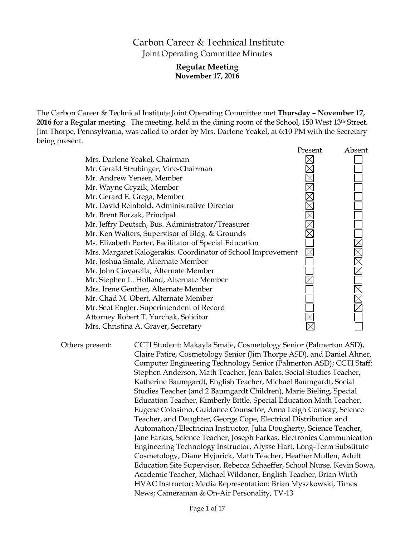# Carbon Career & Technical Institute Joint Operating Committee Minutes

## **Regular Meeting November 17, 2016**

The Carbon Career & Technical Institute Joint Operating Committee met **Thursday – November 17, 2016** for a Regular meeting. The meeting, held in the dining room of the School, 150 West 13th Street, Jim Thorpe, Pennsylvania, was called to order by Mrs. Darlene Yeakel, at 6:10 PM with the Secretary being present.

|                                                              | Present | Absent |
|--------------------------------------------------------------|---------|--------|
| Mrs. Darlene Yeakel, Chairman                                |         |        |
| Mr. Gerald Strubinger, Vice-Chairman                         |         |        |
| Mr. Andrew Yenser, Member                                    |         |        |
| Mr. Wayne Gryzik, Member                                     |         |        |
| Mr. Gerard E. Grega, Member                                  |         |        |
| Mr. David Reinbold, Administrative Director                  |         |        |
| Mr. Brent Borzak, Principal                                  |         |        |
| Mr. Jeffry Deutsch, Bus. Administrator/Treasurer             |         |        |
| Mr. Ken Walters, Supervisor of Bldg. & Grounds               |         |        |
| Ms. Elizabeth Porter, Facilitator of Special Education       |         |        |
| Mrs. Margaret Kalogerakis, Coordinator of School Improvement |         |        |
| Mr. Joshua Smale, Alternate Member                           |         |        |
| Mr. John Ciavarella, Alternate Member                        |         |        |
| Mr. Stephen L. Holland, Alternate Member                     |         |        |
| Mrs. Irene Genther, Alternate Member                         |         |        |
| Mr. Chad M. Obert, Alternate Member                          |         |        |
| Mr. Scot Engler, Superintendent of Record                    |         |        |
| Attorney Robert T. Yurchak, Solicitor                        |         |        |
| Mrs. Christina A. Graver, Secretary                          |         |        |

Others present: CCTI Student: Makayla Smale, Cosmetology Senior (Palmerton ASD), Claire Patire, Cosmetology Senior (Jim Thorpe ASD), and Daniel Ahner, Computer Engineering Technology Senior (Palmerton ASD); CCTI Staff: Stephen Anderson, Math Teacher, Jean Bales, Social Studies Teacher, Katherine Baumgardt, English Teacher, Michael Baumgardt, Social Studies Teacher (and 2 Baumgardt Children), Marie Bieling, Special Education Teacher, Kimberly Bittle, Special Education Math Teacher, Eugene Colosimo, Guidance Counselor, Anna Leigh Conway, Science Teacher, and Daughter, George Cope, Electrical Distribution and Automation/Electrician Instructor, Julia Dougherty, Science Teacher, Jane Farkas, Science Teacher, Joseph Farkas, Electronics Communication Engineering Technology Instructor, Alysse Hart, Long-Term Substitute Cosmetology, Diane Hyjurick, Math Teacher, Heather Mullen, Adult Education Site Supervisor, Rebecca Schaeffer, School Nurse, Kevin Sowa, Academic Teacher, Michael Wildoner, English Teacher, Brian Wirth HVAC Instructor; Media Representation: Brian Myszkowski, Times News; Cameraman & On-Air Personality, TV-13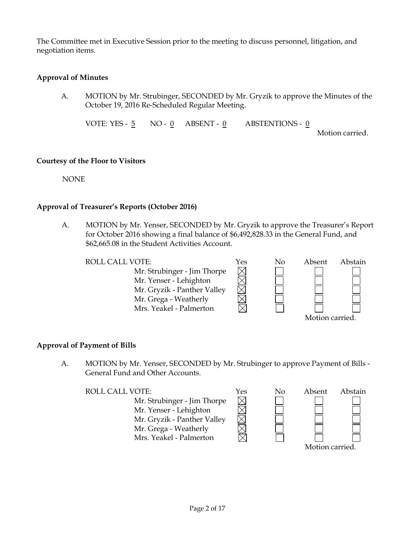The Committee met in Executive Session prior to the meeting to discuss personnel, litigation, and negotiation items.

## **Approval of Minutes**

A. MOTION by Mr. Strubinger, SECONDED by Mr. Gryzik to approve the Minutes of the October 19, 2016 Re-Scheduled Regular Meeting.

VOTE: YES - 5 NO - 0 ABSENT - 0 ABSTENTIONS - 0 Motion carried.

#### **Courtesy of the Floor to Visitors**

NONE

### **Approval of Treasurer's Reports (October 2016)**

A. MOTION by Mr. Yenser, SECONDED by Mr. Gryzik to approve the Treasurer's Report for October 2016 showing a final balance of \$6,492,828.33 in the General Fund, and \$62,665.08 in the Student Activities Account.

 $\times$ 

 $\boxtimes$ 

Mr. Strubinger - Jim Thorpe Mr. Yenser - Lehighton Mr. Gryzik - Panther Valley Mr. Grega - Weatherly Mrs. Yeakel - Palmerton



### **Approval of Payment of Bills**

A. MOTION by Mr. Yenser, SECONDED by Mr. Strubinger to approve Payment of Bills - General Fund and Other Accounts.

Mr. Strubinger - Jim Thorpe Mr. Yenser - Lehighton Mr. Gryzik - Panther Valley Mr. Grega - Weatherly Mrs. Yeakel - Palmerton

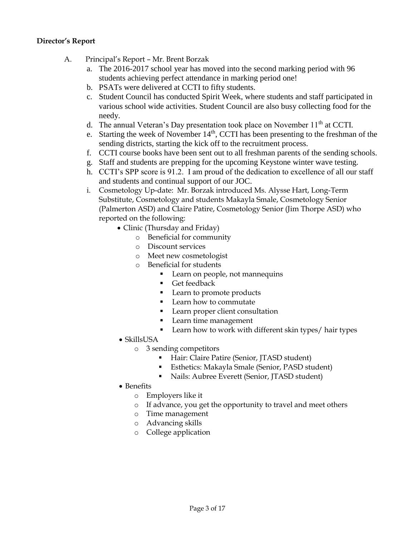## **Director's Report**

- A. Principal's Report Mr. Brent Borzak
	- a. The 2016-2017 school year has moved into the second marking period with 96 students achieving perfect attendance in marking period one!
	- b. PSATs were delivered at CCTI to fifty students.
	- c. Student Council has conducted Spirit Week, where students and staff participated in various school wide activities. Student Council are also busy collecting food for the needy.
	- d. The annual Veteran's Day presentation took place on November  $11<sup>th</sup>$  at CCTI.
	- e. Starting the week of November  $14<sup>th</sup>$ , CCTI has been presenting to the freshman of the sending districts, starting the kick off to the recruitment process.
	- f. CCTI course books have been sent out to all freshman parents of the sending schools.
	- g. Staff and students are prepping for the upcoming Keystone winter wave testing.
	- h. CCTI's SPP score is 91.2. I am proud of the dedication to excellence of all our staff and students and continual support of our JOC.
	- i. Cosmetology Up-date: Mr. Borzak introduced Ms. Alysse Hart, Long-Term Substitute, Cosmetology and students Makayla Smale, Cosmetology Senior (Palmerton ASD) and Claire Patire, Cosmetology Senior (Jim Thorpe ASD) who reported on the following:
		- Clinic (Thursday and Friday)
			- o Beneficial for community
			- o Discount services
			- o Meet new cosmetologist
			- o Beneficial for students
				- **Learn on people, not mannequins**
				- Get feedback
				- Learn to promote products
				- **Learn how to commutate**
				- **Learn proper client consultation**
				- **Learn time management**
				- **Learn how to work with different skin types/ hair types**
		- SkillsUSA
			- o 3 sending competitors
				- **Hair: Claire Patire (Senior, JTASD student)**
				- Esthetics: Makayla Smale (Senior, PASD student)
				- Nails: Aubree Everett (Senior, JTASD student)
		- Benefits
			- o Employers like it
			- o If advance, you get the opportunity to travel and meet others
			- o Time management
			- o Advancing skills
			- o College application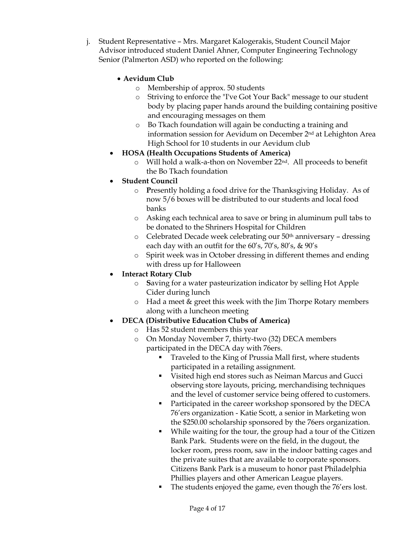j. Student Representative – Mrs. Margaret Kalogerakis, Student Council Major Advisor introduced student Daniel Ahner, Computer Engineering Technology Senior (Palmerton ASD) who reported on the following:

## **Aevidum Club**

- o Membership of approx. 50 students
- o Striving to enforce the "I've Got Your Back" message to our student body by placing paper hands around the building containing positive and encouraging messages on them
- o Bo Tkach foundation will again be conducting a training and information session for Aevidum on December 2nd at Lehighton Area High School for 10 students in our Aevidum club

## **HOSA (Health Occupations Students of America)**

Will hold a walk-a-thon on November 22<sup>nd</sup>. All proceeds to benefit the Bo Tkach foundation

## **Student Council**

- **Presently holding a food drive for the Thanksgiving Holiday.** As of now 5/6 boxes will be distributed to our students and local food banks
- o Asking each technical area to save or bring in aluminum pull tabs to be donated to the Shriners Hospital for Children
- $\circ$  Celebrated Decade week celebrating our 50<sup>th</sup> anniversary dressing each day with an outfit for the 60's, 70's, 80's, & 90's
- o Spirit week was in October dressing in different themes and ending with dress up for Halloween

## **Interact Rotary Club**

- o **S**aving for a water pasteurization indicator by selling Hot Apple Cider during lunch
- o Had a meet & greet this week with the Jim Thorpe Rotary members along with a luncheon meeting

## **DECA (Distributive Education Clubs of America)**

- o Has 52 student members this year
- o On Monday November 7, thirty-two (32) DECA members participated in the DECA day with 76ers.
	- Traveled to the King of Prussia Mall first, where students participated in a retailing assignment.
	- Visited high end stores such as Neiman Marcus and Gucci observing store layouts, pricing, merchandising techniques and the level of customer service being offered to customers.
	- **Participated in the career workshop sponsored by the DECA** 76'ers organization - Katie Scott, a senior in Marketing won the \$250.00 scholarship sponsored by the 76ers organization.
	- While waiting for the tour, the group had a tour of the Citizen Bank Park. Students were on the field, in the dugout, the locker room, press room, saw in the indoor batting cages and the private suites that are available to corporate sponsors. Citizens Bank Park is a museum to honor past Philadelphia Phillies players and other American League players.
	- The students enjoyed the game, even though the 76'ers lost.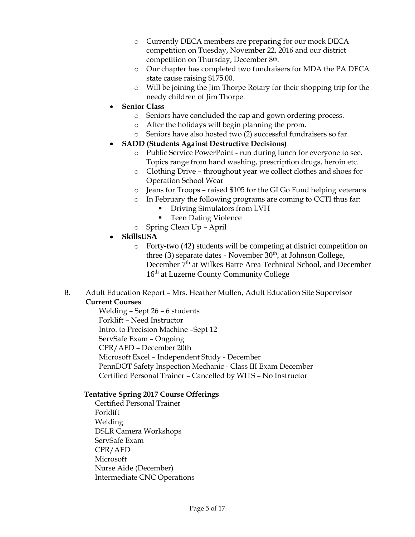- o Currently DECA members are preparing for our mock DECA competition on Tuesday, November 22, 2016 and our district competition on Thursday, December 8th.
- o Our chapter has completed two fundraisers for MDA the PA DECA state cause raising \$175.00.
- o Will be joining the Jim Thorpe Rotary for their shopping trip for the needy children of Jim Thorpe.

## **Senior Class**

- o Seniors have concluded the cap and gown ordering process.
- o After the holidays will begin planning the prom.
- o Seniors have also hosted two (2) successful fundraisers so far.
- **SADD (Students Against Destructive Decisions)** 
	- o Public Service PowerPoint run during lunch for everyone to see. Topics range from hand washing, prescription drugs, heroin etc.
	- o Clothing Drive throughout year we collect clothes and shoes for Operation School Wear
	- o Jeans for Troops raised \$105 for the GI Go Fund helping veterans
	- o In February the following programs are coming to CCTI thus far:
		- **Driving Simulators from LVH**
		- Teen Dating Violence
	- o Spring Clean Up April
- **SkillsUSA**
	- o Forty-two (42) students will be competing at district competition on three (3) separate dates - November  $30<sup>th</sup>$ , at Johnson College, December 7<sup>th</sup> at Wilkes Barre Area Technical School, and December 16<sup>th</sup> at Luzerne County Community College
- B. Adult Education Report Mrs. Heather Mullen, Adult Education Site Supervisor **Current Courses**

Welding – Sept 26 – 6 students Forklift – Need Instructor Intro. to Precision Machine –Sept 12 ServSafe Exam – Ongoing CPR/AED – December 20th Microsoft Excel – Independent Study - December PennDOT Safety Inspection Mechanic - Class III Exam December Certified Personal Trainer – Cancelled by WITS – No Instructor

## **Tentative Spring 2017 Course Offerings**

Certified Personal Trainer Forklift Welding DSLR Camera Workshops ServSafe Exam CPR/AED Microsoft Nurse Aide (December) Intermediate CNC Operations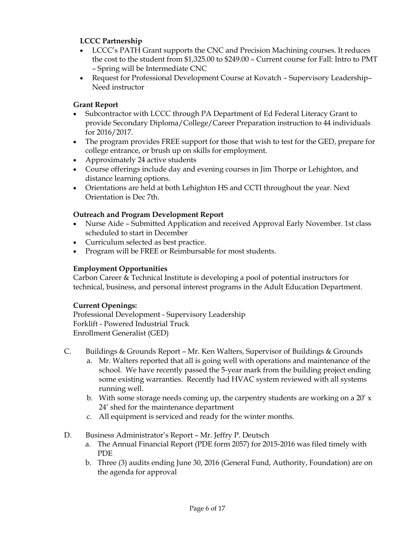## **LCCC Partnership**

- LCCC's PATH Grant supports the CNC and Precision Machining courses. It reduces the cost to the student from \$1,325.00 to \$249.00 – Current course for Fall: Intro to PMT – Spring will be Intermediate CNC
- Request for Professional Development Course at Kovatch Supervisory Leadership– Need instructor

## **Grant Report**

- Subcontractor with LCCC through PA Department of Ed Federal Literacy Grant to provide Secondary Diploma/College/Career Preparation instruction to 44 individuals for 2016/2017.
- The program provides FREE support for those that wish to test for the GED, prepare for college entrance, or brush up on skills for employment.
- Approximately 24 active students
- Course offerings include day and evening courses in Jim Thorpe or Lehighton, and distance learning options.
- Orientations are held at both Lehighton HS and CCTI throughout the year. Next Orientation is Dec 7th.

### **Outreach and Program Development Report**

- Nurse Aide Submitted Application and received Approval Early November. 1st class scheduled to start in December
- Curriculum selected as best practice.
- Program will be FREE or Reimbursable for most students.

### **Employment Opportunities**

Carbon Career & Technical Institute is developing a pool of potential instructors for technical, business, and personal interest programs in the Adult Education Department.

### **Current Openings:**

Professional Development - Supervisory Leadership Forklift - Powered Industrial Truck Enrollment Generalist (GED)

- C. Buildings & Grounds Report Mr. Ken Walters, Supervisor of Buildings & Grounds
	- a. Mr. Walters reported that all is going well with operations and maintenance of the school. We have recently passed the 5-year mark from the building project ending some existing warranties. Recently had HVAC system reviewed with all systems running well.
	- b. With some storage needs coming up, the carpentry students are working on a 20'  $\times$ 24' shed for the maintenance department
	- c. All equipment is serviced and ready for the winter months.
- D. Business Administrator's Report Mr. Jeffry P. Deutsch
	- a. The Annual Financial Report (PDE form 2057) for 2015-2016 was filed timely with PDE
	- b. Three (3) audits ending June 30, 2016 (General Fund, Authority, Foundation) are on the agenda for approval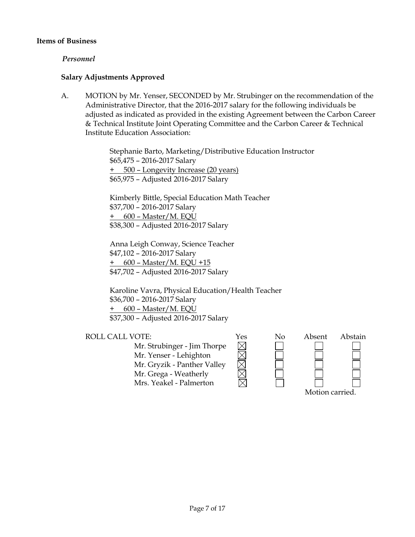#### **Items of Business**

#### *Personnel*

#### **Salary Adjustments Approved**

A. MOTION by Mr. Yenser, SECONDED by Mr. Strubinger on the recommendation of the Administrative Director, that the 2016-2017 salary for the following individuals be adjusted as indicated as provided in the existing Agreement between the Carbon Career & Technical Institute Joint Operating Committee and the Carbon Career & Technical Institute Education Association:

> Stephanie Barto, Marketing/Distributive Education Instructor \$65,475 – 2016-2017 Salary + 500 – Longevity Increase (20 years) \$65,975 – Adjusted 2016-2017 Salary

Kimberly Bittle, Special Education Math Teacher \$37,700 – 2016-2017 Salary + 600 – Master/M. EQU \$38,300 – Adjusted 2016-2017 Salary

Anna Leigh Conway, Science Teacher \$47,102 – 2016-2017 Salary + 600 – Master/M. EQU +15 \$47,702 – Adjusted 2016-2017 Salary

Karoline Vavra, Physical Education/Health Teacher \$36,700 – 2016-2017 Salary + 600 – Master/M. EQU \$37,300 – Adjusted 2016-2017 Salary

Mr. Strubinger - Jim Thorpe Mr. Yenser - Lehighton Mr. Gryzik - Panther Valley Mr. Grega - Weatherly Mrs. Yeakel - Palmerton

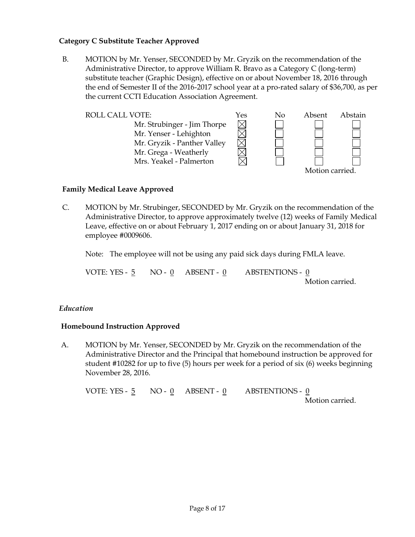### **Category C Substitute Teacher Approved**

B. MOTION by Mr. Yenser, SECONDED by Mr. Gryzik on the recommendation of the Administrative Director, to approve William R. Bravo as a Category C (long-term) substitute teacher (Graphic Design), effective on or about November 18, 2016 through the end of Semester II of the 2016-2017 school year at a pro-rated salary of \$36,700, as per the current CCTI Education Association Agreement.



### **Family Medical Leave Approved**

C. MOTION by Mr. Strubinger, SECONDED by Mr. Gryzik on the recommendation of the Administrative Director, to approve approximately twelve (12) weeks of Family Medical Leave, effective on or about February 1, 2017 ending on or about January 31, 2018 for employee #0009606.

Note: The employee will not be using any paid sick days during FMLA leave.

VOTE: YES - 5 NO - 0 ABSENT - 0 ABSTENTIONS - 0 Motion carried.

### *Education*

### **Homebound Instruction Approved**

A. MOTION by Mr. Yenser, SECONDED by Mr. Gryzik on the recommendation of the Administrative Director and the Principal that homebound instruction be approved for student #10282 for up to five (5) hours per week for a period of six (6) weeks beginning November 28, 2016.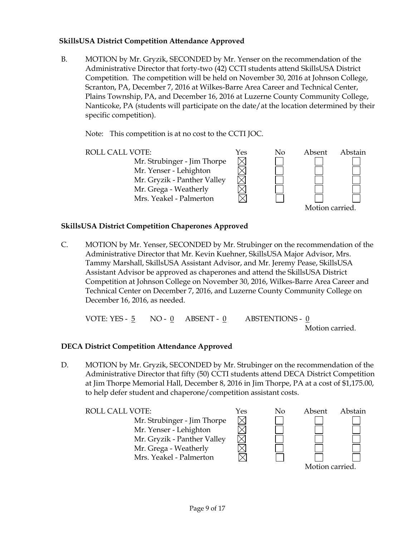### **SkillsUSA District Competition Attendance Approved**

B. MOTION by Mr. Gryzik, SECONDED by Mr. Yenser on the recommendation of the Administrative Director that forty-two (42) CCTI students attend SkillsUSA District Competition. The competition will be held on November 30, 2016 at Johnson College, Scranton, PA, December 7, 2016 at Wilkes-Barre Area Career and Technical Center, Plains Township, PA, and December 16, 2016 at Luzerne County Community College, Nanticoke, PA (students will participate on the date/at the location determined by their specific competition).

Note: This competition is at no cost to the CCTI JOC.

ROLL CALL VOTE:  $Y$ es No Absent Abstain Mr. Strubinger - Jim Thorpe  $\boxtimes$ Mr. Yenser - Lehighton Mr. Gryzik - Panther Valley Mr. Grega - Weatherly Mrs. Yeakel - Palmerton Motion carried.

## **SkillsUSA District Competition Chaperones Approved**

C. MOTION by Mr. Yenser, SECONDED by Mr. Strubinger on the recommendation of the Administrative Director that Mr. Kevin Kuehner, SkillsUSA Major Advisor, Mrs. Tammy Marshall, SkillsUSA Assistant Advisor, and Mr. Jeremy Pease, SkillsUSA Assistant Advisor be approved as chaperones and attend the SkillsUSA District Competition at Johnson College on November 30, 2016, Wilkes-Barre Area Career and Technical Center on December 7, 2016, and Luzerne County Community College on December 16, 2016, as needed.

VOTE: YES -  $\frac{5}{9}$  NO -  $\frac{0}{9}$  ABSENT -  $\frac{0}{9}$  ABSTENTIONS -  $\frac{0}{9}$ Motion carried.

## **DECA District Competition Attendance Approved**

D. MOTION by Mr. Gryzik, SECONDED by Mr. Strubinger on the recommendation of the Administrative Director that fifty (50) CCTI students attend DECA District Competition at Jim Thorpe Memorial Hall, December 8, 2016 in Jim Thorpe, PA at a cost of \$1,175.00, to help defer student and chaperone/competition assistant costs.

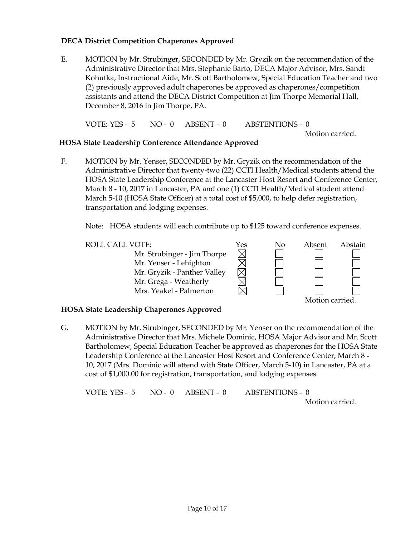## **DECA District Competition Chaperones Approved**

E. MOTION by Mr. Strubinger, SECONDED by Mr. Gryzik on the recommendation of the Administrative Director that Mrs. Stephanie Barto, DECA Major Advisor, Mrs. Sandi Kohutka, Instructional Aide, Mr. Scott Bartholomew, Special Education Teacher and two (2) previously approved adult chaperones be approved as chaperones/competition assistants and attend the DECA District Competition at Jim Thorpe Memorial Hall, December 8, 2016 in Jim Thorpe, PA.

VOTE: YES - 5 NO - 0 ABSENT - 0 ABSTENTIONS - 0

Motion carried.

## **HOSA State Leadership Conference Attendance Approved**

F. MOTION by Mr. Yenser, SECONDED by Mr. Gryzik on the recommendation of the Administrative Director that twenty-two (22) CCTI Health/Medical students attend the HOSA State Leadership Conference at the Lancaster Host Resort and Conference Center, March 8 - 10, 2017 in Lancaster, PA and one (1) CCTI Health/Medical student attend March 5-10 (HOSA State Officer) at a total cost of \$5,000, to help defer registration, transportation and lodging expenses.

Note: HOSA students will each contribute up to \$125 toward conference expenses.

ROLL CALL VOTE:<br>
Mr. Strubinger - Jim Thorpe<br>
Mr. Yenser - Lehighton<br>  $\boxtimes$ Mr. Strubinger - Jim Thorpe Mr. Yenser - Lehighton Mr. Gryzik - Panther Valley Mr. Grega - Weatherly Mrs. Yeakel - Palmerton Motion carried.

### **HOSA State Leadership Chaperones Approved**

G. MOTION by Mr. Strubinger, SECONDED by Mr. Yenser on the recommendation of the Administrative Director that Mrs. Michele Dominic, HOSA Major Advisor and Mr. Scott Bartholomew, Special Education Teacher be approved as chaperones for the HOSA State Leadership Conference at the Lancaster Host Resort and Conference Center, March 8 - 10, 2017 (Mrs. Dominic will attend with State Officer, March 5-10) in Lancaster, PA at a cost of \$1,000.00 for registration, transportation, and lodging expenses.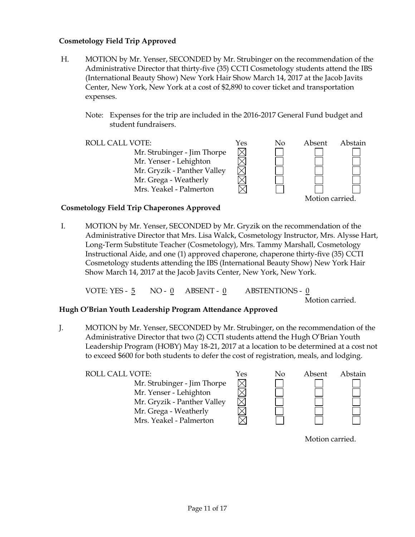### **Cosmetology Field Trip Approved**

- H. MOTION by Mr. Yenser, SECONDED by Mr. Strubinger on the recommendation of the Administrative Director that thirty-five (35) CCTI Cosmetology students attend the IBS (International Beauty Show) New York Hair Show March 14, 2017 at the Jacob Javits Center, New York, New York at a cost of \$2,890 to cover ticket and transportation expenses.
	- Note: Expenses for the trip are included in the 2016-2017 General Fund budget and student fundraisers.

| <b>ROLL CALL VOTE:</b>      | Yes | No | Absent | Abstain |
|-----------------------------|-----|----|--------|---------|
| Mr. Strubinger - Jim Thorpe |     |    |        |         |
| Mr. Yenser - Lehighton      |     |    |        |         |
| Mr. Gryzik - Panther Valley |     |    |        |         |
| Mr. Grega - Weatherly       |     |    |        |         |
| Mrs. Yeakel - Palmerton     |     |    |        |         |

#### Motion carried.

### **Cosmetology Field Trip Chaperones Approved**

I. MOTION by Mr. Yenser, SECONDED by Mr. Gryzik on the recommendation of the Administrative Director that Mrs. Lisa Walck, Cosmetology Instructor, Mrs. Alysse Hart, Long-Term Substitute Teacher (Cosmetology), Mrs. Tammy Marshall, Cosmetology Instructional Aide, and one (1) approved chaperone, chaperone thirty-five (35) CCTI Cosmetology students attending the IBS (International Beauty Show) New York Hair Show March 14, 2017 at the Jacob Javits Center, New York, New York.

VOTE: YES - 5 NO - 0 ABSENT - 0 ABSTENTIONS - 0

Motion carried.

### **Hugh O'Brian Youth Leadership Program Attendance Approved**

J. MOTION by Mr. Yenser, SECONDED by Mr. Strubinger, on the recommendation of the Administrative Director that two (2) CCTI students attend the Hugh O'Brian Youth Leadership Program (HOBY) May 18-21, 2017 at a location to be determined at a cost not to exceed \$600 for both students to defer the cost of registration, meals, and lodging.

| ROLL CALL VOTE:                                       | Yes | No | Absent | Abstain |
|-------------------------------------------------------|-----|----|--------|---------|
| Mr. Strubinger - Jim Thorpe<br>Mr. Yenser - Lehighton |     |    |        |         |
| Mr. Gryzik - Panther Valley                           |     |    |        |         |
| Mr. Grega - Weatherly                                 |     |    |        |         |
| Mrs. Yeakel - Palmerton                               |     |    |        |         |

Motion carried.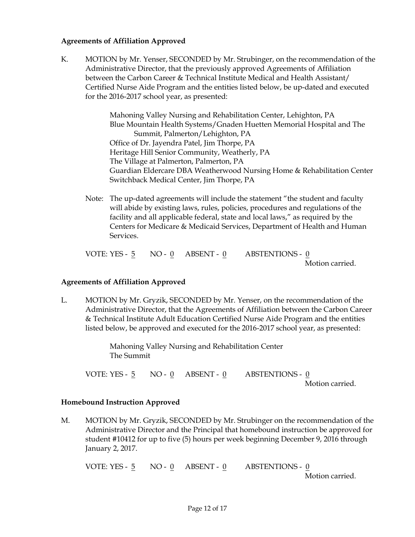#### **Agreements of Affiliation Approved**

K. MOTION by Mr. Yenser, SECONDED by Mr. Strubinger, on the recommendation of the Administrative Director, that the previously approved Agreements of Affiliation between the Carbon Career & Technical Institute Medical and Health Assistant/ Certified Nurse Aide Program and the entities listed below, be up-dated and executed for the 2016-2017 school year, as presented:

> Mahoning Valley Nursing and Rehabilitation Center, Lehighton, PA Blue Mountain Health Systems/Gnaden Huetten Memorial Hospital and The Summit, Palmerton/Lehighton, PA Office of Dr. Jayendra Patel, Jim Thorpe, PA Heritage Hill Senior Community, Weatherly, PA The Village at Palmerton, Palmerton, PA Guardian Eldercare DBA Weatherwood Nursing Home & Rehabilitation Center Switchback Medical Center, Jim Thorpe, PA

Note: The up-dated agreements will include the statement "the student and faculty will abide by existing laws, rules, policies, procedures and regulations of the facility and all applicable federal, state and local laws," as required by the Centers for Medicare & Medicaid Services, Department of Health and Human Services.

VOTE: YES -  $\frac{5}{9}$  NO -  $\frac{0}{9}$  ABSENT -  $\frac{0}{9}$  ABSTENTIONS -  $\frac{0}{9}$ Motion carried.

### **Agreements of Affiliation Approved**

L. MOTION by Mr. Gryzik, SECONDED by Mr. Yenser, on the recommendation of the Administrative Director, that the Agreements of Affiliation between the Carbon Career & Technical Institute Adult Education Certified Nurse Aide Program and the entities listed below, be approved and executed for the 2016-2017 school year, as presented:

> Mahoning Valley Nursing and Rehabilitation Center The Summit

VOTE: YES - 5 NO - 0 ABSENT - 0 ABSTENTIONS - 0 Motion carried.

#### **Homebound Instruction Approved**

M. MOTION by Mr. Gryzik, SECONDED by Mr. Strubinger on the recommendation of the Administrative Director and the Principal that homebound instruction be approved for student #10412 for up to five (5) hours per week beginning December 9, 2016 through January 2, 2017.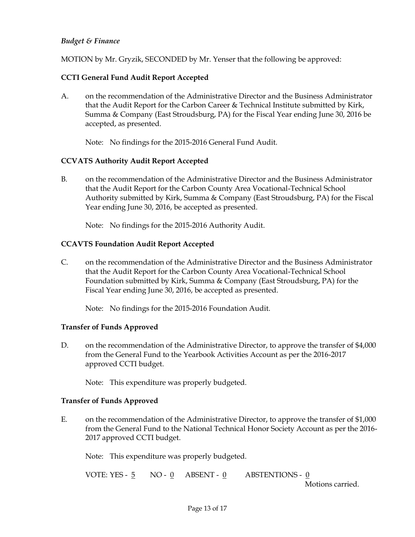## *Budget & Finance*

MOTION by Mr. Gryzik, SECONDED by Mr. Yenser that the following be approved:

## **CCTI General Fund Audit Report Accepted**

A. on the recommendation of the Administrative Director and the Business Administrator that the Audit Report for the Carbon Career & Technical Institute submitted by Kirk, Summa & Company (East Stroudsburg, PA) for the Fiscal Year ending June 30, 2016 be accepted, as presented.

Note: No findings for the 2015-2016 General Fund Audit.

### **CCVATS Authority Audit Report Accepted**

B. on the recommendation of the Administrative Director and the Business Administrator that the Audit Report for the Carbon County Area Vocational-Technical School Authority submitted by Kirk, Summa & Company (East Stroudsburg, PA) for the Fiscal Year ending June 30, 2016, be accepted as presented.

Note: No findings for the 2015-2016 Authority Audit.

## **CCAVTS Foundation Audit Report Accepted**

C. on the recommendation of the Administrative Director and the Business Administrator that the Audit Report for the Carbon County Area Vocational-Technical School Foundation submitted by Kirk, Summa & Company (East Stroudsburg, PA) for the Fiscal Year ending June 30, 2016, be accepted as presented.

Note: No findings for the 2015-2016 Foundation Audit.

### **Transfer of Funds Approved**

D. on the recommendation of the Administrative Director, to approve the transfer of \$4,000 from the General Fund to the Yearbook Activities Account as per the 2016-2017 approved CCTI budget.

Note: This expenditure was properly budgeted.

### **Transfer of Funds Approved**

E. on the recommendation of the Administrative Director, to approve the transfer of \$1,000 from the General Fund to the National Technical Honor Society Account as per the 2016- 2017 approved CCTI budget.

Note: This expenditure was properly budgeted.

| VOTE: YES - 5 NO - 0 ABSENT - 0 |  | ABSTENTIONS - 0  |
|---------------------------------|--|------------------|
|                                 |  | Motions carried. |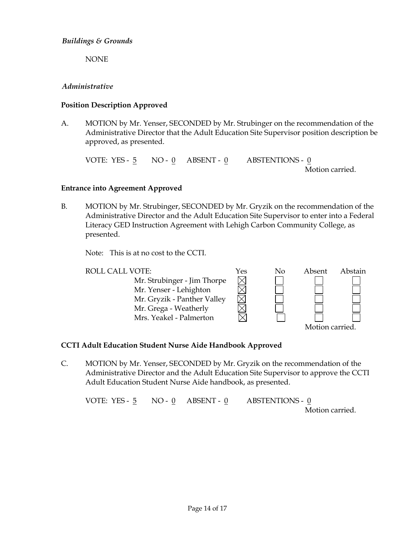NONE

### *Administrative*

### **Position Description Approved**

A. MOTION by Mr. Yenser, SECONDED by Mr. Strubinger on the recommendation of the Administrative Director that the Adult Education Site Supervisor position description be approved, as presented.

VOTE: YES - 5 NO - 0 ABSENT - 0 ABSTENTIONS - 0 Motion carried.

### **Entrance into Agreement Approved**

B. MOTION by Mr. Strubinger, SECONDED by Mr. Gryzik on the recommendation of the Administrative Director and the Adult Education Site Supervisor to enter into a Federal Literacy GED Instruction Agreement with Lehigh Carbon Community College, as presented.

Note: This is at no cost to the CCTI.

| <b>ROLL CALL VOTE:</b>      | Yes | No | Absent         | Abstain |
|-----------------------------|-----|----|----------------|---------|
| Mr. Strubinger - Jim Thorpe |     |    |                |         |
| Mr. Yenser - Lehighton      |     |    |                |         |
| Mr. Gryzik - Panther Valley |     |    |                |         |
| Mr. Grega - Weatherly       |     |    |                |         |
| Mrs. Yeakel - Palmerton     |     |    |                |         |
|                             |     |    | Motion carried |         |

### **CCTI Adult Education Student Nurse Aide Handbook Approved**

C. MOTION by Mr. Yenser, SECONDED by Mr. Gryzik on the recommendation of the Administrative Director and the Adult Education Site Supervisor to approve the CCTI Adult Education Student Nurse Aide handbook, as presented.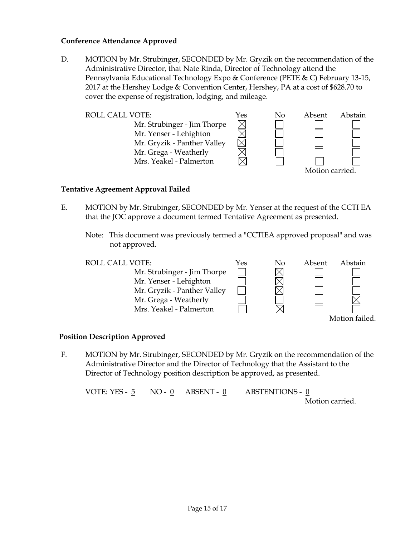#### **Conference Attendance Approved**

D. MOTION by Mr. Strubinger, SECONDED by Mr. Gryzik on the recommendation of the Administrative Director, that Nate Rinda, Director of Technology attend the Pennsylvania Educational Technology Expo & Conference (PETE & C) February 13-15, 2017 at the Hershey Lodge & Convention Center, Hershey, PA at a cost of \$628.70 to cover the expense of registration, lodging, and mileage.





#### **Tentative Agreement Approval Failed**

- E. MOTION by Mr. Strubinger, SECONDED by Mr. Yenser at the request of the CCTI EA that the JOC approve a document termed Tentative Agreement as presented.
	- Note: This document was previously termed a "CCTIEA approved proposal" and was not approved.



#### **Position Description Approved**

F. MOTION by Mr. Strubinger, SECONDED by Mr. Gryzik on the recommendation of the Administrative Director and the Director of Technology that the Assistant to the Director of Technology position description be approved, as presented.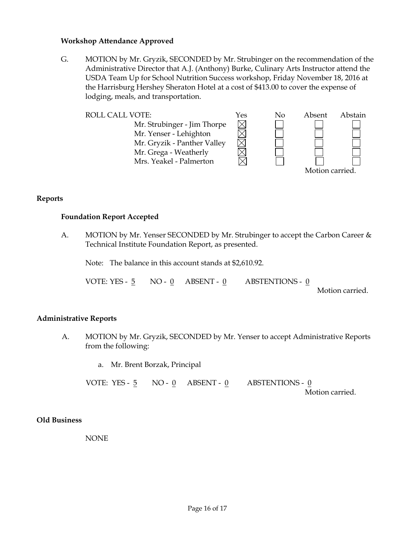#### **Workshop Attendance Approved**

G. MOTION by Mr. Gryzik, SECONDED by Mr. Strubinger on the recommendation of the Administrative Director that A.J. (Anthony) Burke, Culinary Arts Instructor attend the USDA Team Up for School Nutrition Success workshop, Friday November 18, 2016 at the Harrisburg Hershey Sheraton Hotel at a cost of \$413.00 to cover the expense of lodging, meals, and transportation.





**Reports**

#### **Foundation Report Accepted**

A. MOTION by Mr. Yenser SECONDED by Mr. Strubinger to accept the Carbon Career & Technical Institute Foundation Report, as presented.

Note: The balance in this account stands at \$2,610.92.

VOTE: YES -  $5$  NO -  $0$  ABSENT -  $0$  ABSTENTIONS -  $0$ 

Motion carried.

#### **Administrative Reports**

A. MOTION by Mr. Gryzik, SECONDED by Mr. Yenser to accept Administrative Reports from the following:

a. Mr. Brent Borzak, Principal

VOTE: YES -  $\frac{5}{9}$  NO -  $\frac{0}{9}$  ABSENT -  $\frac{0}{9}$  ABSTENTIONS -  $\frac{0}{9}$ Motion carried.

#### **Old Business**

NONE